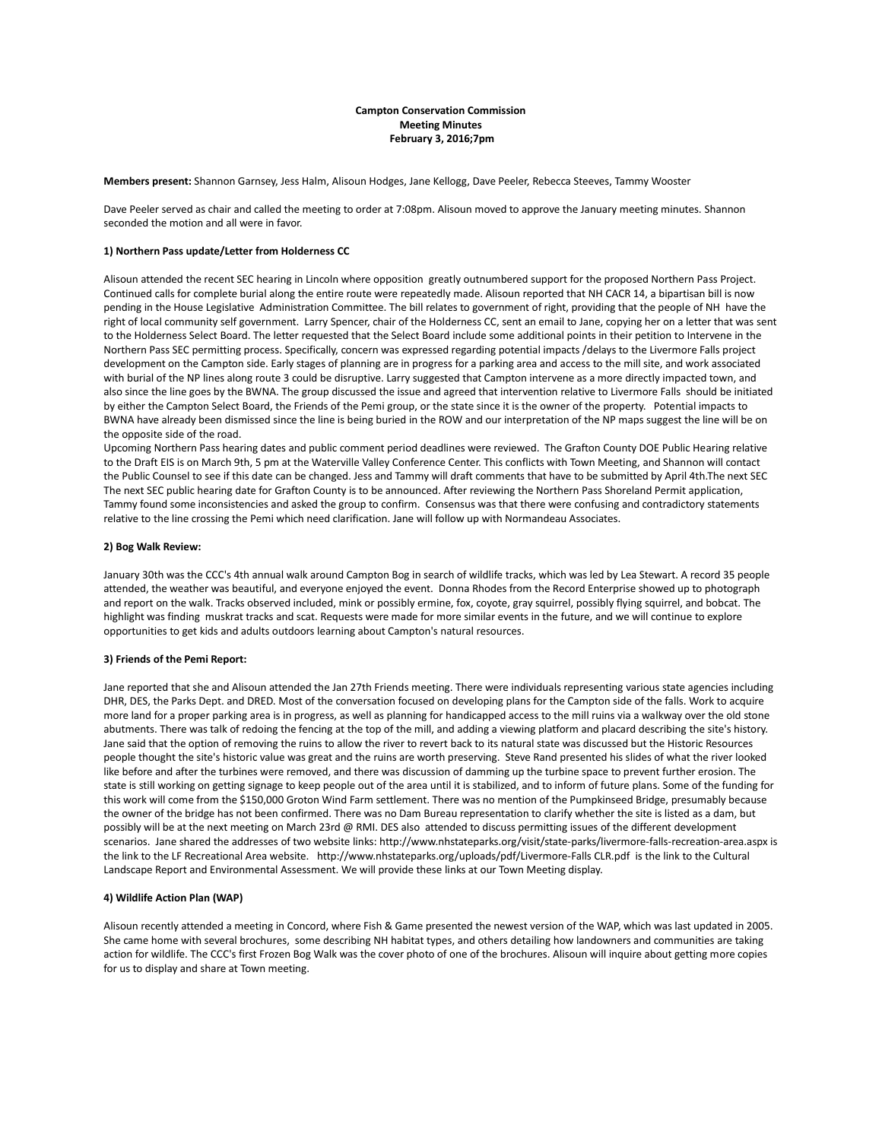# **Campton Conservation Commission Meeting Minutes February 3, 2016;7pm**

**Members present:** Shannon Garnsey, Jess Halm, Alisoun Hodges, Jane Kellogg, Dave Peeler, Rebecca Steeves, Tammy Wooster

Dave Peeler served as chair and called the meeting to order at 7:08pm. Alisoun moved to approve the January meeting minutes. Shannon seconded the motion and all were in favor.

## **1) Northern Pass update/Letter from Holderness CC**

Alisoun attended the recent SEC hearing in Lincoln where opposition greatly outnumbered support for the proposed Northern Pass Project. Continued calls for complete burial along the entire route were repeatedly made. Alisoun reported that NH CACR 14, a bipartisan bill is now pending in the House Legislative Administration Committee. The bill relates to government of right, providing that the people of NH have the right of local community self government. Larry Spencer, chair of the Holderness CC, sent an email to Jane, copying her on a letter that was sent to the Holderness Select Board. The letter requested that the Select Board include some additional points in their petition to Intervene in the Northern Pass SEC permitting process. Specifically, concern was expressed regarding potential impacts /delays to the Livermore Falls project development on the Campton side. Early stages of planning are in progress for a parking area and access to the mill site, and work associated with burial of the NP lines along route 3 could be disruptive. Larry suggested that Campton intervene as a more directly impacted town, and also since the line goes by the BWNA. The group discussed the issue and agreed that intervention relative to Livermore Falls should be initiated by either the Campton Select Board, the Friends of the Pemi group, or the state since it is the owner of the property. Potential impacts to BWNA have already been dismissed since the line is being buried in the ROW and our interpretation of the NP maps suggest the line will be on the opposite side of the road.

Upcoming Northern Pass hearing dates and public comment period deadlines were reviewed. The Grafton County DOE Public Hearing relative to the Draft EIS is on March 9th, 5 pm at the Waterville Valley Conference Center. This conflicts with Town Meeting, and Shannon will contact the Public Counsel to see if this date can be changed. Jess and Tammy will draft comments that have to be submitted by April 4th.The next SEC The next SEC public hearing date for Grafton County is to be announced. After reviewing the Northern Pass Shoreland Permit application, Tammy found some inconsistencies and asked the group to confirm. Consensus was that there were confusing and contradictory statements relative to the line crossing the Pemi which need clarification. Jane will follow up with Normandeau Associates.

# **2) Bog Walk Review:**

January 30th was the CCC's 4th annual walk around Campton Bog in search of wildlife tracks, which was led by Lea Stewart. A record 35 people attended, the weather was beautiful, and everyone enjoyed the event. Donna Rhodes from the Record Enterprise showed up to photograph and report on the walk. Tracks observed included, mink or possibly ermine, fox, coyote, gray squirrel, possibly flying squirrel, and bobcat. The highlight was finding muskrat tracks and scat. Requests were made for more similar events in the future, and we will continue to explore opportunities to get kids and adults outdoors learning about Campton's natural resources.

#### **3) Friends of the Pemi Report:**

Jane reported that she and Alisoun attended the Jan 27th Friends meeting. There were individuals representing various state agencies including DHR, DES, the Parks Dept. and DRED. Most of the conversation focused on developing plans for the Campton side of the falls. Work to acquire more land for a proper parking area is in progress, as well as planning for handicapped access to the mill ruins via a walkway over the old stone abutments. There was talk of redoing the fencing at the top of the mill, and adding a viewing platform and placard describing the site's history. Jane said that the option of removing the ruins to allow the river to revert back to its natural state was discussed but the Historic Resources people thought the site's historic value was great and the ruins are worth preserving. Steve Rand presented his slides of what the river looked like before and after the turbines were removed, and there was discussion of damming up the turbine space to prevent further erosion. The state is still working on getting signage to keep people out of the area until it is stabilized, and to inform of future plans. Some of the funding for this work will come from the \$150,000 Groton Wind Farm settlement. There was no mention of the Pumpkinseed Bridge, presumably because the owner of the bridge has not been confirmed. There was no Dam Bureau representation to clarify whether the site is listed as a dam, but possibly will be at the next meeting on March 23rd @ RMI. DES also attended to discuss permitting issues of the different development scenarios. Jane shared the addresses of two website links[: http://www.nhstateparks.org/visit/state-parks/livermore-falls-recreation-area.aspx](http://www.nhstateparks.org/visit/state-parks/livermore-falls-recreation-area.aspx) is the link to the LF Recreational Area website. [http://www.nhstateparks.org/uploads/pdf/Livermore-Falls CLR.pdf](http://www.nhstateparks.org/uploads/pdf/Livermore-Falls%20CLR.pdf) is the link to the Cultural Landscape Report and Environmental Assessment. We will provide these links at our Town Meeting display.

# **4) Wildlife Action Plan (WAP)**

Alisoun recently attended a meeting in Concord, where Fish & Game presented the newest version of the WAP, which was last updated in 2005. She came home with several brochures, some describing NH habitat types, and others detailing how landowners and communities are taking action for wildlife. The CCC's first Frozen Bog Walk was the cover photo of one of the brochures. Alisoun will inquire about getting more copies for us to display and share at Town meeting.